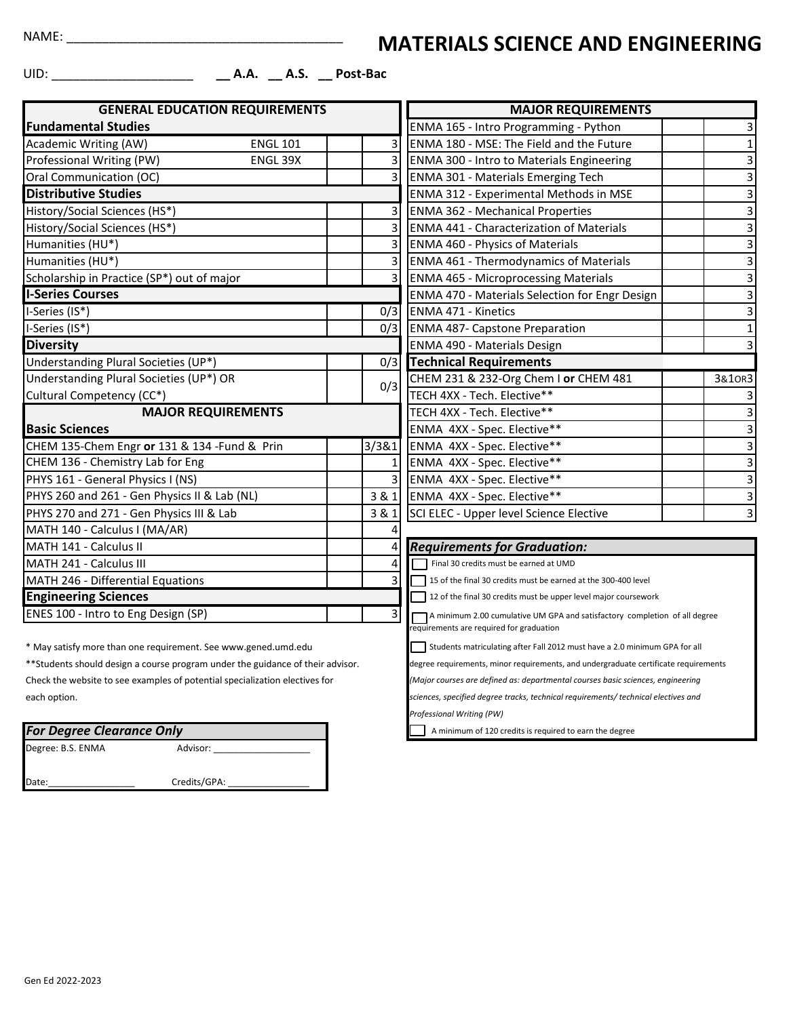NAME: \_\_\_\_\_\_\_\_\_\_\_\_\_\_\_\_\_\_\_\_\_\_\_\_\_\_\_\_\_\_\_\_\_\_\_\_\_\_\_

## **MATERIALS SCIENCE AND ENGINEERING**

UID: \_\_\_\_\_\_\_\_\_\_\_\_\_\_\_\_\_\_\_\_ **\_\_ A.A. \_\_ A.S. \_\_ Post-Bac**

| <b>GENERAL EDUCATION REQUIREMENTS</b>        |                 | <b>MAJOR REQUIREMENTS</b> |                                                                            |        |  |  |
|----------------------------------------------|-----------------|---------------------------|----------------------------------------------------------------------------|--------|--|--|
| <b>Fundamental Studies</b>                   |                 |                           | ENMA 165 - Intro Programming - Python                                      | 3      |  |  |
| Academic Writing (AW)                        | <b>ENGL 101</b> | 31                        | ENMA 180 - MSE: The Field and the Future                                   |        |  |  |
| Professional Writing (PW)                    | ENGL 39X        | $\overline{\mathbf{3}}$   | <b>ENMA 300 - Intro to Materials Engineering</b>                           |        |  |  |
| Oral Communication (OC)                      |                 | $\overline{3}$            | <b>ENMA 301 - Materials Emerging Tech</b>                                  | 3      |  |  |
| <b>Distributive Studies</b>                  |                 |                           | ENMA 312 - Experimental Methods in MSE                                     |        |  |  |
| History/Social Sciences (HS*)                |                 | 31                        | <b>ENMA 362 - Mechanical Properties</b>                                    | 3      |  |  |
| History/Social Sciences (HS*)                |                 | $\overline{\mathbf{3}}$   | <b>ENMA 441 - Characterization of Materials</b>                            | З      |  |  |
| Humanities (HU*)                             |                 | $\overline{\mathbf{3}}$   | <b>ENMA 460 - Physics of Materials</b>                                     | 3      |  |  |
| Humanities (HU*)                             |                 | $\overline{3}$            | <b>ENMA 461 - Thermodynamics of Materials</b>                              | 3      |  |  |
| Scholarship in Practice (SP*) out of major   |                 | зI                        | <b>ENMA 465 - Microprocessing Materials</b>                                |        |  |  |
| <b>I-Series Courses</b>                      |                 |                           | ENMA 470 - Materials Selection for Engr Design                             | 3      |  |  |
| I-Series (IS*)                               |                 | 0/3                       | <b>ENMA 471 - Kinetics</b>                                                 | 3      |  |  |
| I-Series (IS*)                               |                 | 0/3                       | <b>ENMA 487- Capstone Preparation</b>                                      |        |  |  |
| <b>Diversity</b>                             |                 |                           | ENMA 490 - Materials Design                                                |        |  |  |
| Understanding Plural Societies (UP*)         |                 | 0/3                       | <b>Technical Requirements</b>                                              |        |  |  |
| Understanding Plural Societies (UP*) OR      |                 | 0/3                       | CHEM 231 & 232-Org Chem I or CHEM 481                                      | 3&10R3 |  |  |
| Cultural Competency (CC*)                    |                 |                           | TECH 4XX - Tech. Elective**                                                |        |  |  |
| <b>MAJOR REQUIREMENTS</b>                    |                 |                           | TECH 4XX - Tech. Elective**                                                |        |  |  |
| <b>Basic Sciences</b>                        |                 |                           | ENMA 4XX - Spec. Elective**                                                | 3      |  |  |
| CHEM 135-Chem Engr or 131 & 134 -Fund & Prin |                 | 3/3&1                     | ENMA 4XX - Spec. Elective**                                                |        |  |  |
| CHEM 136 - Chemistry Lab for Eng             |                 |                           | ENMA 4XX - Spec. Elective**                                                | 3      |  |  |
| PHYS 161 - General Physics I (NS)            |                 |                           | ENMA 4XX - Spec. Elective**                                                |        |  |  |
| PHYS 260 and 261 - Gen Physics II & Lab (NL) |                 | 3 & 1                     | ENMA 4XX - Spec. Elective**                                                |        |  |  |
| PHYS 270 and 271 - Gen Physics III & Lab     |                 | 3 & 1                     | SCI ELEC - Upper level Science Elective                                    |        |  |  |
| MATH 140 - Calculus I (MA/AR)                |                 |                           |                                                                            |        |  |  |
| MATH 141 - Calculus II                       |                 | 4                         | <b>Requirements for Graduation:</b>                                        |        |  |  |
| MATH 241 - Calculus III                      |                 | 4                         | Final 30 credits must be earned at UMD                                     |        |  |  |
| MATH 246 - Differential Equations            |                 | $\overline{3}$            | 15 of the final 30 credits must be earned at the 300-400 level             |        |  |  |
| <b>Engineering Sciences</b>                  |                 |                           | 12 of the final 30 credits must be upper level major coursework            |        |  |  |
| ENES 100 - Intro to Eng Design (SP)          |                 | 3                         | A minimum 2.00 cumulative UM GPA and satisfactory completion of all degree |        |  |  |
|                                              |                 |                           |                                                                            |        |  |  |

|       | <b>MAJOR REQUIREMENTS</b>                        |        |
|-------|--------------------------------------------------|--------|
|       | ENMA 165 - Intro Programming - Python            | 3      |
| 3     | ENMA 180 - MSE: The Field and the Future         | 1      |
| 3     | <b>ENMA 300 - Intro to Materials Engineering</b> | 3      |
| 3     | <b>ENMA 301 - Materials Emerging Tech</b>        | 3      |
|       | ENMA 312 - Experimental Methods in MSE           | 3      |
| 3     | <b>ENMA 362 - Mechanical Properties</b>          | 3      |
| 3     | <b>ENMA 441 - Characterization of Materials</b>  | 3      |
| 3     | <b>ENMA 460 - Physics of Materials</b>           | 3      |
| 3     | <b>ENMA 461 - Thermodynamics of Materials</b>    | 3      |
| 3     | <b>ENMA 465 - Microprocessing Materials</b>      | 3      |
|       | ENMA 470 - Materials Selection for Engr Design   | 3      |
| 0/3   | ENMA 471 - Kinetics                              | 3      |
| 0/3   | <b>ENMA 487- Capstone Preparation</b>            | 1      |
|       | ENMA 490 - Materials Design                      | 3      |
| 0/3   | <b>Technical Requirements</b>                    |        |
| 0/3   | CHEM 231 & 232-Org Chem I or CHEM 481            | 3&10R3 |
|       | TECH 4XX - Tech. Elective**                      | 3      |
|       | TECH 4XX - Tech. Elective**                      | 3      |
|       | ENMA 4XX - Spec. Elective**                      | 3      |
| /381  | ENMA 4XX - Spec. Elective**                      | 3      |
| 1     | ENMA 4XX - Spec. Elective**                      | 3      |
| 3     | ENMA 4XX - Spec. Elective**                      | 3      |
| 3 & 1 | ENMA 4XX - Spec. Elective**                      | 3      |
| 3 & 1 | SCI ELEC - Upper level Science Elective          | 3      |

## **Requirements for Graduation:**

 A minimum 2.00 cumulative UM GPA and satisfactory completion of all degree requirements are required for graduation

Students matriculating after Fall 2012 must have a 2.0 minimum GPA for all

degree requirements, minor requirements, and undergraduate certificate requirements

*(Major courses are defined as: departmental courses basic sciences, engineering*

*sciences, specified degree tracks, technical requirements/ technical electives and* 

 A minimum of 120 credits is required to earn the degree *Professional Writing (PW)*

Degree: B.S. ENMA Advisor: Date:\_\_\_\_\_\_\_\_\_\_\_\_\_\_\_\_\_ Credits/GPA: \_\_\_\_\_\_\_\_\_\_\_\_\_\_\_\_ *For Degree Clearance Only*

\* May satisfy more than one requirement. See www.gened.umd.edu

\*\*Students should design a course program under the guidance of their advisor.

Check the website to see examples of potential specialization electives for

each option.